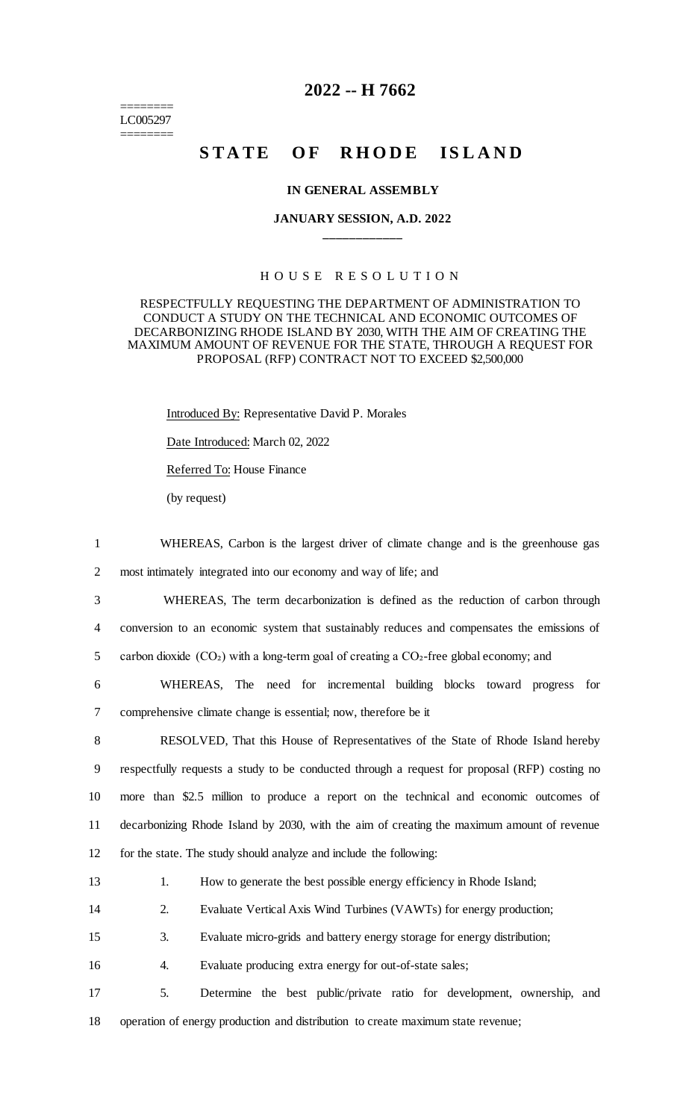======== LC005297 ========

## **2022 -- H 7662**

# **STATE OF RHODE ISLAND**

#### **IN GENERAL ASSEMBLY**

### **JANUARY SESSION, A.D. 2022 \_\_\_\_\_\_\_\_\_\_\_\_**

### H O U S E R E S O L U T I O N

### RESPECTFULLY REQUESTING THE DEPARTMENT OF ADMINISTRATION TO CONDUCT A STUDY ON THE TECHNICAL AND ECONOMIC OUTCOMES OF DECARBONIZING RHODE ISLAND BY 2030, WITH THE AIM OF CREATING THE MAXIMUM AMOUNT OF REVENUE FOR THE STATE, THROUGH A REQUEST FOR PROPOSAL (RFP) CONTRACT NOT TO EXCEED \$2,500,000

Introduced By: Representative David P. Morales

Date Introduced: March 02, 2022

Referred To: House Finance

(by request)

1 WHEREAS, Carbon is the largest driver of climate change and is the greenhouse gas 2 most intimately integrated into our economy and way of life; and

3 WHEREAS, The term decarbonization is defined as the reduction of carbon through 4 conversion to an economic system that sustainably reduces and compensates the emissions of

5 carbon dioxide  $(CO<sub>2</sub>)$  with a long-term goal of creating a  $CO<sub>2</sub>$ -free global economy; and

6 WHEREAS, The need for incremental building blocks toward progress for 7 comprehensive climate change is essential; now, therefore be it

 RESOLVED, That this House of Representatives of the State of Rhode Island hereby respectfully requests a study to be conducted through a request for proposal (RFP) costing no more than \$2.5 million to produce a report on the technical and economic outcomes of decarbonizing Rhode Island by 2030, with the aim of creating the maximum amount of revenue for the state. The study should analyze and include the following:

| How to generate the best possible energy efficiency in Rhode Island; |  |
|----------------------------------------------------------------------|--|
|----------------------------------------------------------------------|--|

14 2. Evaluate Vertical Axis Wind Turbines (VAWTs) for energy production;

15 3. Evaluate micro-grids and battery energy storage for energy distribution;

16 4. Evaluate producing extra energy for out-of-state sales;

17 5. Determine the best public/private ratio for development, ownership, and 18 operation of energy production and distribution to create maximum state revenue;